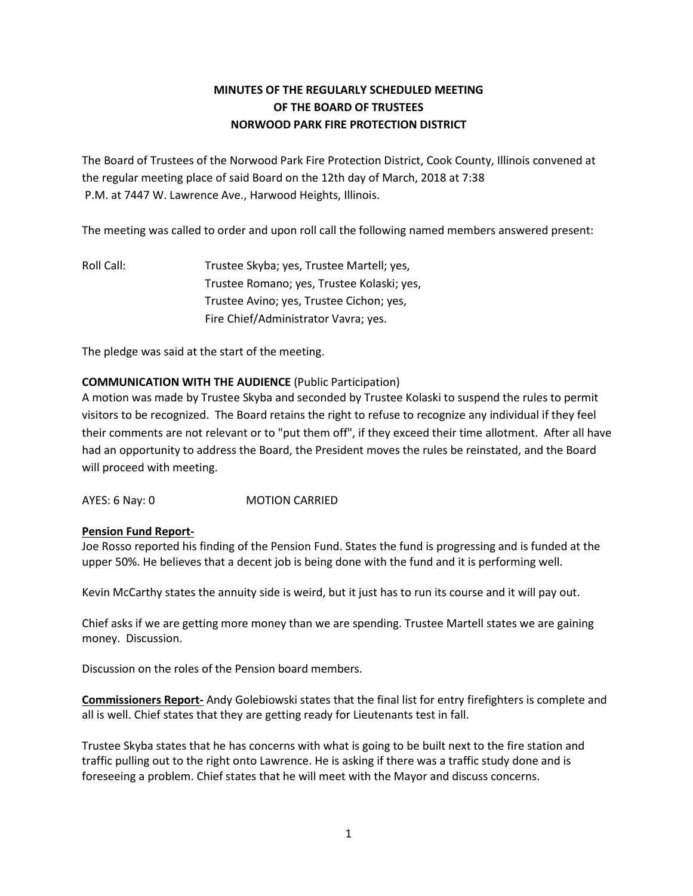## **MINUTES OF THE REGULARLY SCHEDULED MEETING OF THE BOARD OF TRUSTEES NORWOOD PARK FIRE PROTECTION DISTRICT**

The Board of Trustees of the Norwood Park Fire Protection District, Cook County, Illinois convened at the regular meeting place of said Board on the 12th day of March, 2018 at 7:38 P.M. at 7447 W. Lawrence Ave., Harwood Heights, Illinois.

The meeting was called to order and upon roll call the following named members answered present:

Roll Call: Trustee Skyba; yes, Trustee Martell; yes, Trustee Romano; yes, Trustee Kolaski; yes, Trustee Avino; yes, Trustee Cichon; yes, Fire Chief/Administrator Vavra; yes.

The pledge was said at the start of the meeting.

## **COMMUNICATION WITH THE AUDIENCE** (Public Participation)

A motion was made by Trustee Skyba and seconded by Trustee Kolaski to suspend the rules to permit visitors to be recognized. The Board retains the right to refuse to recognize any individual if they feel their comments are not relevant or to "put them off", if they exceed their time allotment. After all have had an opportunity to address the Board, the President moves the rules be reinstated, and the Board will proceed with meeting.

AYES: 6 Nay: 0 MOTION CARRIED

## **Pension Fund Report-**

Joe Rosso reported his finding of the Pension Fund. States the fund is progressing and is funded at the upper 50%. He believes that a decent job is being done with the fund and it is performing well.

Kevin McCarthy states the annuity side is weird, but it just has to run its course and it will pay out.

Chief asks if we are getting more money than we are spending. Trustee Martell states we are gaining money. Discussion.

Discussion on the roles of the Pension board members.

**Commissioners Report-** Andy Golebiowski states that the final list for entry firefighters is complete and all is well. Chief states that they are getting ready for Lieutenants test in fall.

Trustee Skyba states that he has concerns with what is going to be built next to the fire station and traffic pulling out to the right onto Lawrence. He is asking if there was a traffic study done and is foreseeing a problem. Chief states that he will meet with the Mayor and discuss concerns.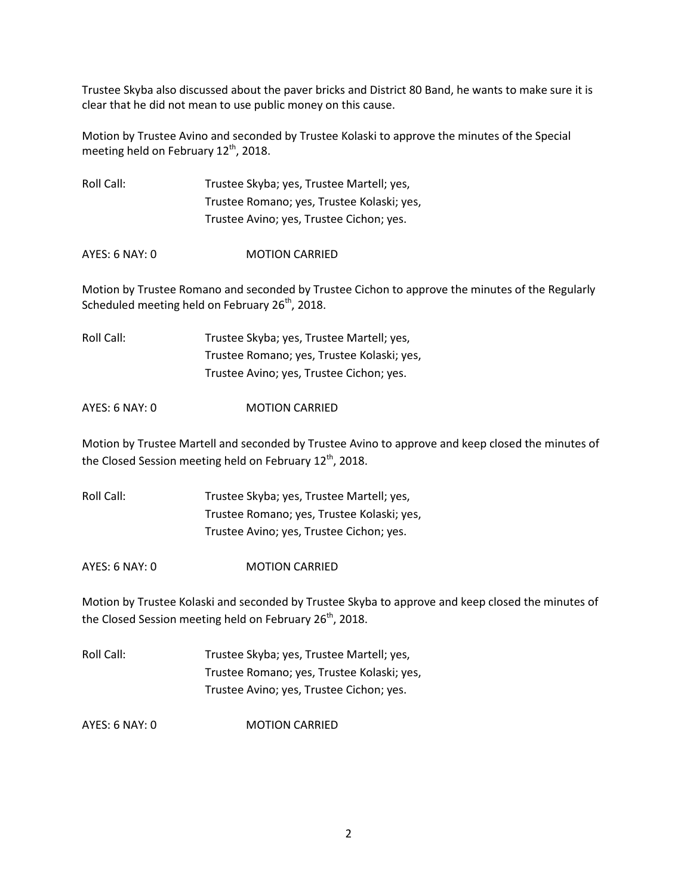Trustee Skyba also discussed about the paver bricks and District 80 Band, he wants to make sure it is clear that he did not mean to use public money on this cause.

Motion by Trustee Avino and seconded by Trustee Kolaski to approve the minutes of the Special meeting held on February  $12^{th}$ , 2018.

Roll Call: Trustee Skyba; yes, Trustee Martell; yes, Trustee Romano; yes, Trustee Kolaski; yes, Trustee Avino; yes, Trustee Cichon; yes.

AYES: 6 NAY: 0 MOTION CARRIED

Motion by Trustee Romano and seconded by Trustee Cichon to approve the minutes of the Regularly Scheduled meeting held on February  $26<sup>th</sup>$ , 2018.

Roll Call: Trustee Skyba; yes, Trustee Martell; yes, Trustee Romano; yes, Trustee Kolaski; yes, Trustee Avino; yes, Trustee Cichon; yes.

AYES: 6 NAY: 0 MOTION CARRIED

Motion by Trustee Martell and seconded by Trustee Avino to approve and keep closed the minutes of the Closed Session meeting held on February 12<sup>th</sup>, 2018.

Roll Call: Trustee Skyba; yes, Trustee Martell; yes, Trustee Romano; yes, Trustee Kolaski; yes, Trustee Avino; yes, Trustee Cichon; yes.

AYES: 6 NAY: 0 MOTION CARRIED

Motion by Trustee Kolaski and seconded by Trustee Skyba to approve and keep closed the minutes of the Closed Session meeting held on February  $26<sup>th</sup>$ , 2018.

Roll Call: Trustee Skyba; yes, Trustee Martell; yes, Trustee Romano; yes, Trustee Kolaski; yes, Trustee Avino; yes, Trustee Cichon; yes.

AYES: 6 NAY: 0 MOTION CARRIED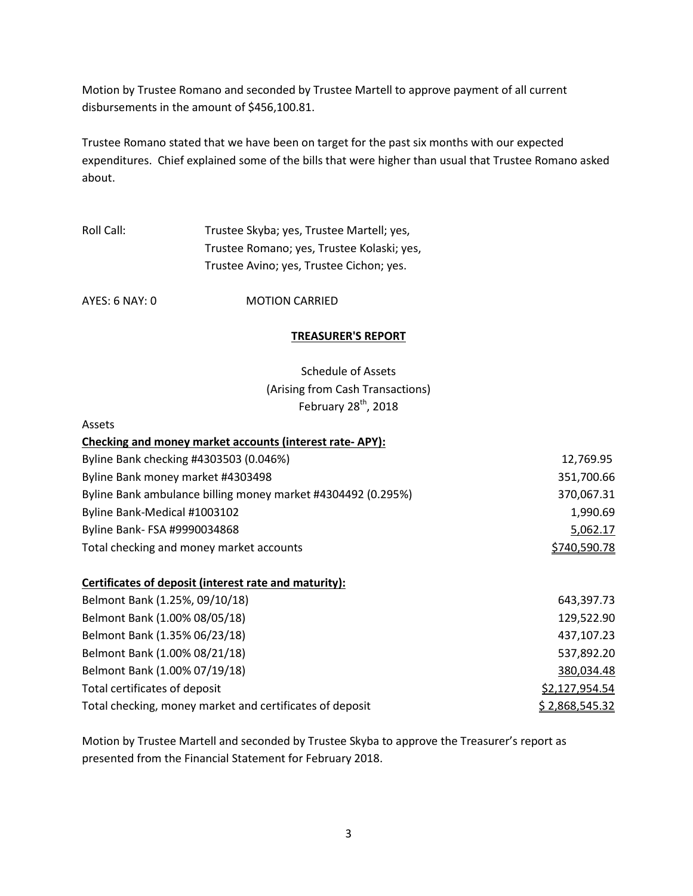Motion by Trustee Romano and seconded by Trustee Martell to approve payment of all current disbursements in the amount of \$456,100.81.

Trustee Romano stated that we have been on target for the past six months with our expected expenditures. Chief explained some of the bills that were higher than usual that Trustee Romano asked about.

# Roll Call: Trustee Skyba; yes, Trustee Martell; yes, Trustee Romano; yes, Trustee Kolaski; yes, Trustee Avino; yes, Trustee Cichon; yes.

AYES: 6 NAY: 0 MOTION CARRIED

## **TREASURER'S REPORT**

## Schedule of Assets (Arising from Cash Transactions) February  $28^{\text{th}}$ , 2018

#### Assets

| Checking and money market accounts (interest rate-APY):      |              |
|--------------------------------------------------------------|--------------|
| Byline Bank checking #4303503 (0.046%)                       | 12,769.95    |
| Byline Bank money market #4303498                            | 351,700.66   |
| Byline Bank ambulance billing money market #4304492 (0.295%) | 370,067.31   |
| Byline Bank-Medical #1003102                                 | 1,990.69     |
| Byline Bank- FSA #9990034868                                 | 5,062.17     |
| Total checking and money market accounts                     | \$740,590.78 |

## **Certificates of deposit (interest rate and maturity):**

| Belmont Bank (1.25%, 09/10/18)                           | 643,397.73     |
|----------------------------------------------------------|----------------|
| Belmont Bank (1.00% 08/05/18)                            | 129,522.90     |
| Belmont Bank (1.35% 06/23/18)                            | 437,107.23     |
| Belmont Bank (1.00% 08/21/18)                            | 537,892.20     |
| Belmont Bank (1.00% 07/19/18)                            | 380,034.48     |
| Total certificates of deposit                            | \$2,127,954.54 |
| Total checking, money market and certificates of deposit | \$2,868,545.32 |

Motion by Trustee Martell and seconded by Trustee Skyba to approve the Treasurer's report as presented from the Financial Statement for February 2018.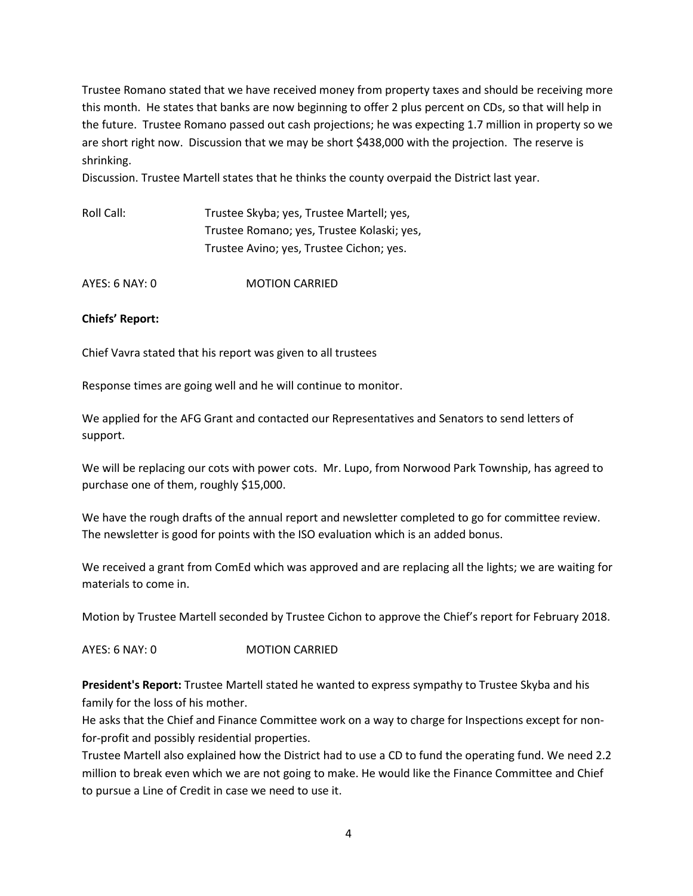Trustee Romano stated that we have received money from property taxes and should be receiving more this month. He states that banks are now beginning to offer 2 plus percent on CDs, so that will help in the future. Trustee Romano passed out cash projections; he was expecting 1.7 million in property so we are short right now. Discussion that we may be short \$438,000 with the projection. The reserve is shrinking.

Discussion. Trustee Martell states that he thinks the county overpaid the District last year.

Roll Call: Trustee Skyba; yes, Trustee Martell; yes, Trustee Romano; yes, Trustee Kolaski; yes, Trustee Avino; yes, Trustee Cichon; yes.

AYES: 6 NAY: 0 MOTION CARRIED

#### **Chiefs' Report:**

Chief Vavra stated that his report was given to all trustees

Response times are going well and he will continue to monitor.

We applied for the AFG Grant and contacted our Representatives and Senators to send letters of support.

We will be replacing our cots with power cots. Mr. Lupo, from Norwood Park Township, has agreed to purchase one of them, roughly \$15,000.

We have the rough drafts of the annual report and newsletter completed to go for committee review. The newsletter is good for points with the ISO evaluation which is an added bonus.

We received a grant from ComEd which was approved and are replacing all the lights; we are waiting for materials to come in.

Motion by Trustee Martell seconded by Trustee Cichon to approve the Chief's report for February 2018.

AYES: 6 NAY: 0 **MOTION CARRIED** 

**President's Report:** Trustee Martell stated he wanted to express sympathy to Trustee Skyba and his family for the loss of his mother.

He asks that the Chief and Finance Committee work on a way to charge for Inspections except for nonfor-profit and possibly residential properties.

Trustee Martell also explained how the District had to use a CD to fund the operating fund. We need 2.2 million to break even which we are not going to make. He would like the Finance Committee and Chief to pursue a Line of Credit in case we need to use it.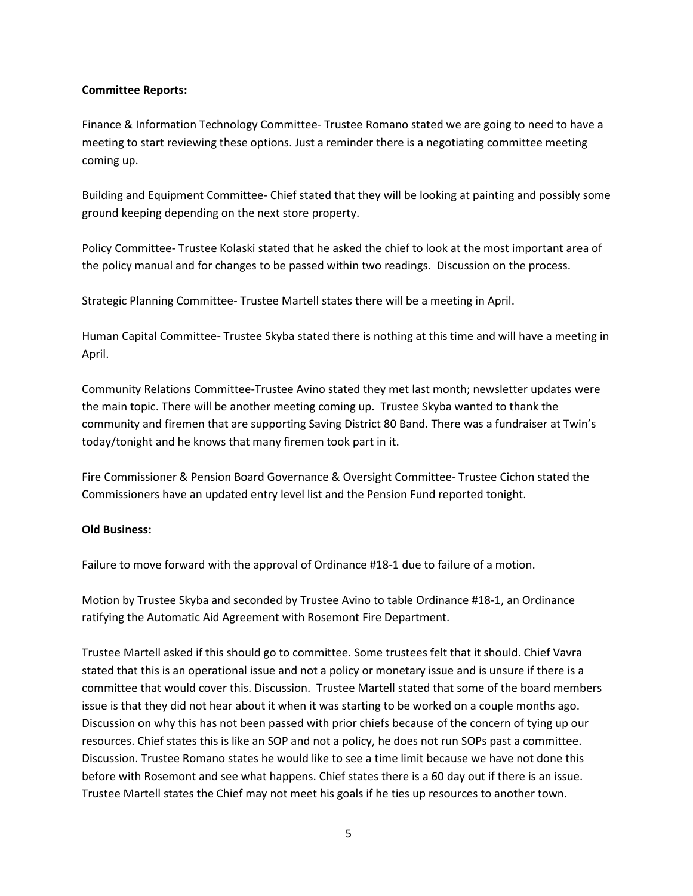## **Committee Reports:**

Finance & Information Technology Committee- Trustee Romano stated we are going to need to have a meeting to start reviewing these options. Just a reminder there is a negotiating committee meeting coming up.

Building and Equipment Committee- Chief stated that they will be looking at painting and possibly some ground keeping depending on the next store property.

Policy Committee- Trustee Kolaski stated that he asked the chief to look at the most important area of the policy manual and for changes to be passed within two readings. Discussion on the process.

Strategic Planning Committee- Trustee Martell states there will be a meeting in April.

Human Capital Committee- Trustee Skyba stated there is nothing at this time and will have a meeting in April.

Community Relations Committee-Trustee Avino stated they met last month; newsletter updates were the main topic. There will be another meeting coming up. Trustee Skyba wanted to thank the community and firemen that are supporting Saving District 80 Band. There was a fundraiser at Twin's today/tonight and he knows that many firemen took part in it.

Fire Commissioner & Pension Board Governance & Oversight Committee- Trustee Cichon stated the Commissioners have an updated entry level list and the Pension Fund reported tonight.

## **Old Business:**

Failure to move forward with the approval of Ordinance #18-1 due to failure of a motion.

Motion by Trustee Skyba and seconded by Trustee Avino to table Ordinance #18-1, an Ordinance ratifying the Automatic Aid Agreement with Rosemont Fire Department.

Trustee Martell asked if this should go to committee. Some trustees felt that it should. Chief Vavra stated that this is an operational issue and not a policy or monetary issue and is unsure if there is a committee that would cover this. Discussion. Trustee Martell stated that some of the board members issue is that they did not hear about it when it was starting to be worked on a couple months ago. Discussion on why this has not been passed with prior chiefs because of the concern of tying up our resources. Chief states this is like an SOP and not a policy, he does not run SOPs past a committee. Discussion. Trustee Romano states he would like to see a time limit because we have not done this before with Rosemont and see what happens. Chief states there is a 60 day out if there is an issue. Trustee Martell states the Chief may not meet his goals if he ties up resources to another town.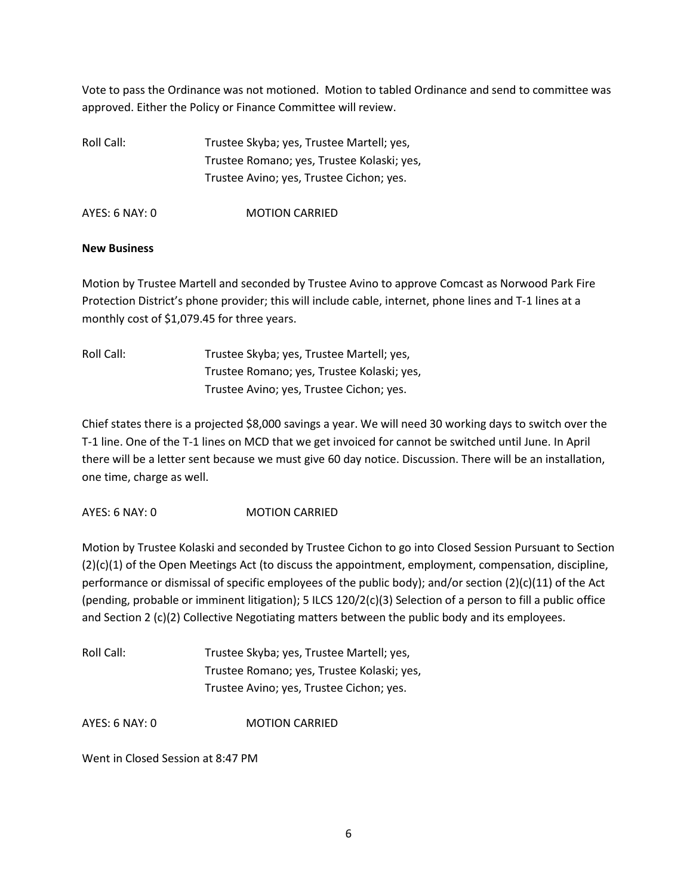Vote to pass the Ordinance was not motioned. Motion to tabled Ordinance and send to committee was approved. Either the Policy or Finance Committee will review.

Roll Call: Trustee Skyba; yes, Trustee Martell; yes, Trustee Romano; yes, Trustee Kolaski; yes, Trustee Avino; yes, Trustee Cichon; yes.

AYES: 6 NAY: 0 MOTION CARRIED

### **New Business**

Motion by Trustee Martell and seconded by Trustee Avino to approve Comcast as Norwood Park Fire Protection District's phone provider; this will include cable, internet, phone lines and T-1 lines at a monthly cost of \$1,079.45 for three years.

| Roll Call: | Trustee Skyba; yes, Trustee Martell; yes,  |
|------------|--------------------------------------------|
|            | Trustee Romano; yes, Trustee Kolaski; yes, |
|            | Trustee Avino; yes, Trustee Cichon; yes.   |

Chief states there is a projected \$8,000 savings a year. We will need 30 working days to switch over the T-1 line. One of the T-1 lines on MCD that we get invoiced for cannot be switched until June. In April there will be a letter sent because we must give 60 day notice. Discussion. There will be an installation, one time, charge as well.

AYES: 6 NAY: 0 MOTION CARRIED

Motion by Trustee Kolaski and seconded by Trustee Cichon to go into Closed Session Pursuant to Section (2)(c)(1) of the Open Meetings Act (to discuss the appointment, employment, compensation, discipline, performance or dismissal of specific employees of the public body); and/or section (2)(c)(11) of the Act (pending, probable or imminent litigation); 5 ILCS 120/2(c)(3) Selection of a person to fill a public office and Section 2 (c)(2) Collective Negotiating matters between the public body and its employees.

| Roll Call: | Trustee Skyba; yes, Trustee Martell; yes,  |
|------------|--------------------------------------------|
|            | Trustee Romano; yes, Trustee Kolaski; yes, |
|            | Trustee Avino; yes, Trustee Cichon; yes.   |

AYES: 6 NAY: 0 MOTION CARRIED

Went in Closed Session at 8:47 PM